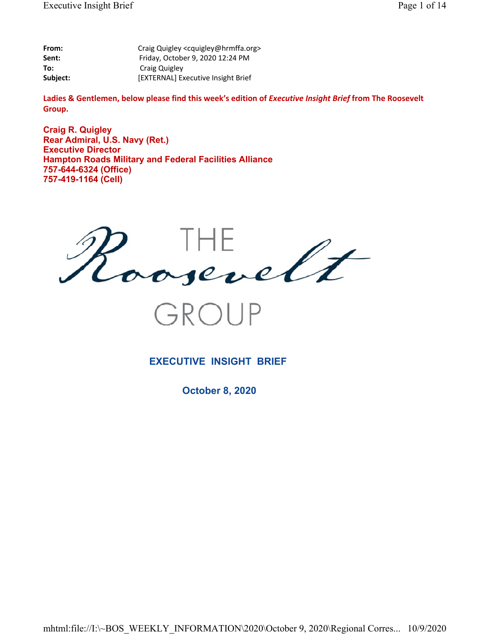| From:    | Craig Quigley <cquigley@hrmffa.org></cquigley@hrmffa.org> |
|----------|-----------------------------------------------------------|
| Sent:    | Friday, October 9, 2020 12:24 PM                          |
| To:      | Craig Quigley                                             |
| Subject: | [EXTERNAL] Executive Insight Brief                        |

Ladies & Gentlemen, below please find this week's edition of *Executive Insight Brief* from The Roosevelt **Group.**

**Craig R. Quigley Rear Admiral, U.S. Navy (Ret.) Executive Director Hampton Roads Military and Federal Facilities Alliance 757-644-6324 (Office) 757-419-1164 (Cell)**



GROUP

### **EXECUTIVE INSIGHT BRIEF**

**October 8, 2020**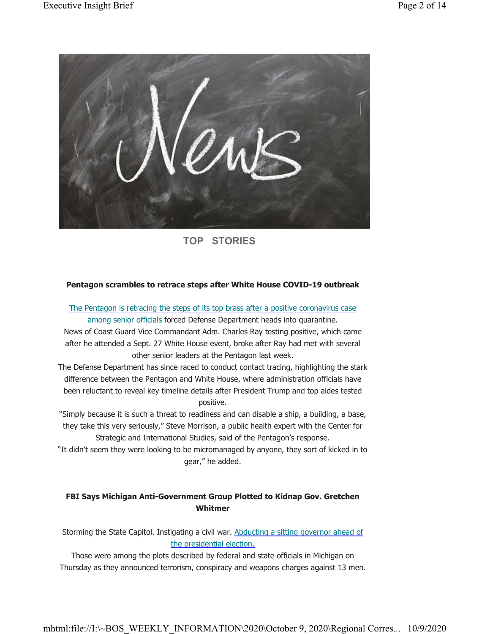

**TOP STORIES**

### **Pentagon scrambles to retrace steps after White House COVID-19 outbreak**

The Pentagon is retracing the steps of its top brass after a positive coronavirus case among senior officials forced Defense Department heads into quarantine.

News of Coast Guard Vice Commandant Adm. Charles Ray testing positive, which came after he attended a Sept. 27 White House event, broke after Ray had met with several other senior leaders at the Pentagon last week.

The Defense Department has since raced to conduct contact tracing, highlighting the stark difference between the Pentagon and White House, where administration officials have been reluctant to reveal key timeline details after President Trump and top aides tested positive.

"Simply because it is such a threat to readiness and can disable a ship, a building, a base, they take this very seriously," Steve Morrison, a public health expert with the Center for Strategic and International Studies, said of the Pentagon's response.

"It didn't seem they were looking to be micromanaged by anyone, they sort of kicked in to gear," he added.

### **FBI Says Michigan Anti-Government Group Plotted to Kidnap Gov. Gretchen Whitmer**

Storming the State Capitol. Instigating a civil war. Abducting a sitting governor ahead of the presidential election.

Those were among the plots described by federal and state officials in Michigan on Thursday as they announced terrorism, conspiracy and weapons charges against 13 men.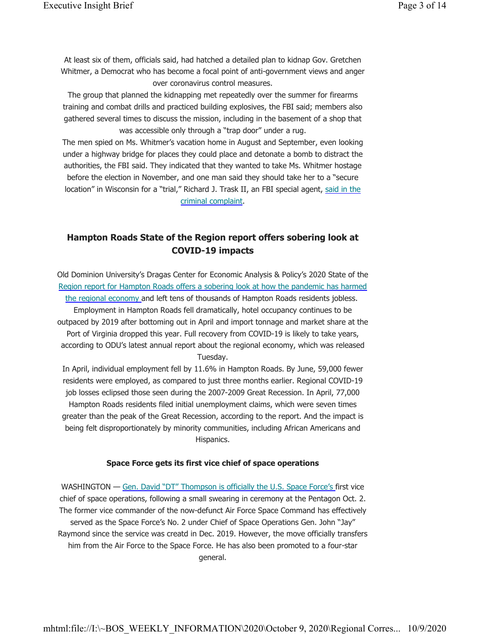At least six of them, officials said, had hatched a detailed plan to kidnap Gov. Gretchen Whitmer, a Democrat who has become a focal point of anti-government views and anger over coronavirus control measures.

The group that planned the kidnapping met repeatedly over the summer for firearms training and combat drills and practiced building explosives, the FBI said; members also gathered several times to discuss the mission, including in the basement of a shop that was accessible only through a "trap door" under a rug.

The men spied on Ms. Whitmer's vacation home in August and September, even looking under a highway bridge for places they could place and detonate a bomb to distract the authorities, the FBI said. They indicated that they wanted to take Ms. Whitmer hostage before the election in November, and one man said they should take her to a "secure location" in Wisconsin for a "trial," Richard J. Trask II, an FBI special agent, said in the criminal complaint.

## **Hampton Roads State of the Region report offers sobering look at COVID-19 impacts**

Old Dominion University's Dragas Center for Economic Analysis & Policy's 2020 State of the Region report for Hampton Roads offers a sobering look at how the pandemic has harmed the regional economy and left tens of thousands of Hampton Roads residents jobless. Employment in Hampton Roads fell dramatically, hotel occupancy continues to be outpaced by 2019 after bottoming out in April and import tonnage and market share at the Port of Virginia dropped this year. Full recovery from COVID-19 is likely to take years, according to ODU's latest annual report about the regional economy, which was released Tuesday.

In April, individual employment fell by 11.6% in Hampton Roads. By June, 59,000 fewer residents were employed, as compared to just three months earlier. Regional COVID-19 job losses eclipsed those seen during the 2007-2009 Great Recession. In April, 77,000 Hampton Roads residents filed initial unemployment claims, which were seven times greater than the peak of the Great Recession, according to the report. And the impact is being felt disproportionately by minority communities, including African Americans and Hispanics.

#### **Space Force gets its first vice chief of space operations**

WASHINGTON — Gen. David "DT" Thompson is officially the U.S. Space Force's first vice chief of space operations, following a small swearing in ceremony at the Pentagon Oct. 2. The former vice commander of the now-defunct Air Force Space Command has effectively served as the Space Force's No. 2 under Chief of Space Operations Gen. John "Jay" Raymond since the service was creatd in Dec. 2019. However, the move officially transfers him from the Air Force to the Space Force. He has also been promoted to a four-star general.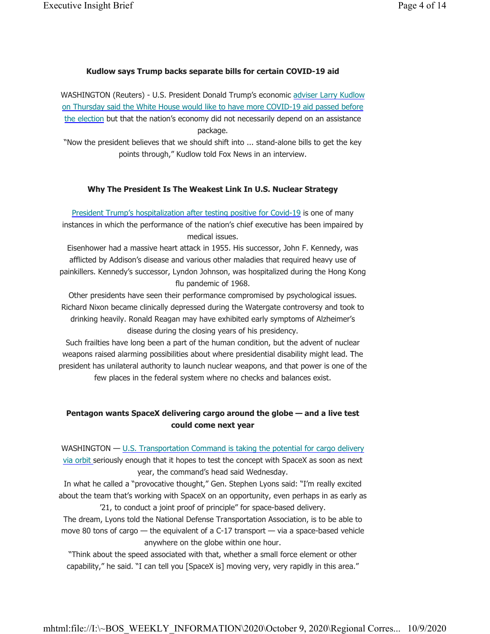#### **Kudlow says Trump backs separate bills for certain COVID-19 aid**

WASHINGTON (Reuters) - U.S. President Donald Trump's economic adviser Larry Kudlow on Thursday said the White House would like to have more COVID-19 aid passed before the election but that the nation's economy did not necessarily depend on an assistance package.

"Now the president believes that we should shift into ... stand-alone bills to get the key points through," Kudlow told Fox News in an interview.

#### **Why The President Is The Weakest Link In U.S. Nuclear Strategy**

President Trump's hospitalization after testing positive for Covid-19 is one of many instances in which the performance of the nation's chief executive has been impaired by medical issues.

Eisenhower had a massive heart attack in 1955. His successor, John F. Kennedy, was afflicted by Addison's disease and various other maladies that required heavy use of painkillers. Kennedy's successor, Lyndon Johnson, was hospitalized during the Hong Kong flu pandemic of 1968.

Other presidents have seen their performance compromised by psychological issues. Richard Nixon became clinically depressed during the Watergate controversy and took to drinking heavily. Ronald Reagan may have exhibited early symptoms of Alzheimer's disease during the closing years of his presidency.

Such frailties have long been a part of the human condition, but the advent of nuclear weapons raised alarming possibilities about where presidential disability might lead. The president has unilateral authority to launch nuclear weapons, and that power is one of the few places in the federal system where no checks and balances exist.

### **Pentagon wants SpaceX delivering cargo around the globe — and a live test could come next year**

WASHINGTON  $-$  U.S. Transportation Command is taking the potential for cargo delivery via orbit seriously enough that it hopes to test the concept with SpaceX as soon as next year, the command's head said Wednesday.

In what he called a "provocative thought," Gen. Stephen Lyons said: "I'm really excited about the team that's working with SpaceX on an opportunity, even perhaps in as early as '21, to conduct a joint proof of principle" for space-based delivery.

The dream, Lyons told the National Defense Transportation Association, is to be able to move 80 tons of cargo — the equivalent of a C-17 transport — via a space-based vehicle anywhere on the globe within one hour.

"Think about the speed associated with that, whether a small force element or other capability," he said. "I can tell you [SpaceX is] moving very, very rapidly in this area."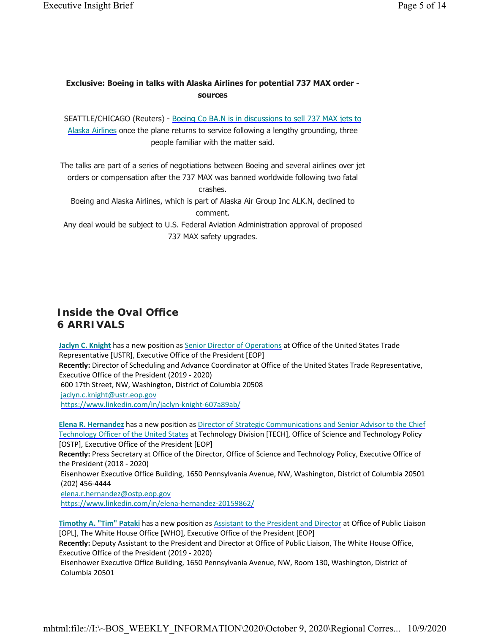### **Exclusive: Boeing in talks with Alaska Airlines for potential 737 MAX order sources**

SEATTLE/CHICAGO (Reuters) - Boeing Co BA.N is in discussions to sell 737 MAX jets to Alaska Airlines once the plane returns to service following a lengthy grounding, three people familiar with the matter said.

The talks are part of a series of negotiations between Boeing and several airlines over jet orders or compensation after the 737 MAX was banned worldwide following two fatal

crashes.

Boeing and Alaska Airlines, which is part of Alaska Air Group Inc ALK.N, declined to comment.

Any deal would be subject to U.S. Federal Aviation Administration approval of proposed 737 MAX safety upgrades.

# **Inside the Oval Office 6 ARRIVALS**

**Jaclyn C. Knight** has a new position as Senior Director of Operations at Office of the United States Trade Representative [USTR], Executive Office of the President [EOP] **Recently:** Director of Scheduling and Advance Coordinator at Office of the United States Trade Representative, Executive Office of the President (2019 - 2020) 600 17th Street, NW, Washington, District of Columbia 20508 jaclyn.c.knight@ustr.eop.gov https://www.linkedin.com/in/jaclyn-knight-607a89ab/

**Elena R. Hernandez** has a new position as Director of Strategic Communications and Senior Advisor to the Chief Technology Officer of the United States at Technology Division [TECH], Office of Science and Technology Policy [OSTP], Executive Office of the President [EOP]

**Recently:** Press Secretary at Office of the Director, Office of Science and Technology Policy, Executive Office of the President (2018 - 2020)

Eisenhower Executive Office Building, 1650 Pennsylvania Avenue, NW, Washington, District of Columbia 20501 (202) 456-4444

elena.r.hernandez@ostp.eop.gov

https://www.linkedin.com/in/elena-hernandez-20159862/

**Timothy A. "Tim" Pataki** has a new position as Assistant to the President and Director at Office of Public Liaison [OPL], The White House Office [WHO], Executive Office of the President [EOP]

**Recently:** Deputy Assistant to the President and Director at Office of Public Liaison, The White House Office, Executive Office of the President (2019 - 2020)

Eisenhower Executive Office Building, 1650 Pennsylvania Avenue, NW, Room 130, Washington, District of Columbia 20501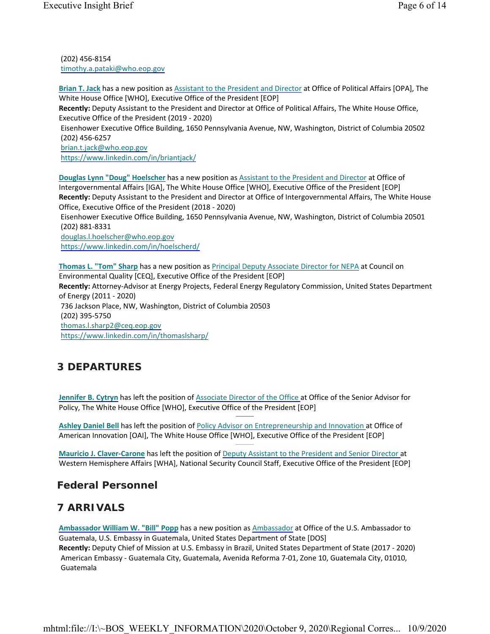(202) 456-8154 timothy.a.pataki@who.eop.gov

**Brian T. Jack** has a new position as Assistant to the President and Director at Office of Political Affairs [OPA], The White House Office [WHO], Executive Office of the President [EOP]

**Recently:** Deputy Assistant to the President and Director at Office of Political Affairs, The White House Office, Executive Office of the President (2019 - 2020)

Eisenhower Executive Office Building, 1650 Pennsylvania Avenue, NW, Washington, District of Columbia 20502 (202) 456-6257

brian.t.jack@who.eop.gov https://www.linkedin.com/in/briantjack/

**Douglas Lynn "Doug" Hoelscher** has a new position as Assistant to the President and Director at Office of Intergovernmental Affairs [IGA], The White House Office [WHO], Executive Office of the President [EOP] **Recently:** Deputy Assistant to the President and Director at Office of Intergovernmental Affairs, The White House Office, Executive Office of the President (2018 - 2020)

Eisenhower Executive Office Building, 1650 Pennsylvania Avenue, NW, Washington, District of Columbia 20501 (202) 881-8331

douglas.l.hoelscher@who.eop.gov https://www.linkedin.com/in/hoelscherd/

**Thomas L. "Tom" Sharp** has a new position as Principal Deputy Associate Director for NEPA at Council on Environmental Quality [CEQ], Executive Office of the President [EOP] **Recently:** Attorney-Advisor at Energy Projects, Federal Energy Regulatory Commission, United States Department of Energy (2011 - 2020) 736 Jackson Place, NW, Washington, District of Columbia 20503 (202) 395-5750 thomas.l.sharp2@ceq.eop.gov https://www.linkedin.com/in/thomaslsharp/

# **3 DEPARTURES**

**Jennifer B. Cytryn** has left the position of Associate Director of the Office at Office of the Senior Advisor for Policy, The White House Office [WHO], Executive Office of the President [EOP]

**Ashley Daniel Bell** has left the position of Policy Advisor on Entrepreneurship and Innovation at Office of American Innovation [OAI], The White House Office [WHO], Executive Office of the President [EOP]

**Mauricio J. Claver-Carone** has left the position of Deputy Assistant to the President and Senior Director at Western Hemisphere Affairs [WHA], National Security Council Staff, Executive Office of the President [EOP]

## **Federal Personnel**

# **7 ARRIVALS**

**Ambassador William W. "Bill" Popp** has a new position as Ambassador at Office of the U.S. Ambassador to Guatemala, U.S. Embassy in Guatemala, United States Department of State [DOS] **Recently:** Deputy Chief of Mission at U.S. Embassy in Brazil, United States Department of State (2017 - 2020) American Embassy - Guatemala City, Guatemala, Avenida Reforma 7-01, Zone 10, Guatemala City, 01010, Guatemala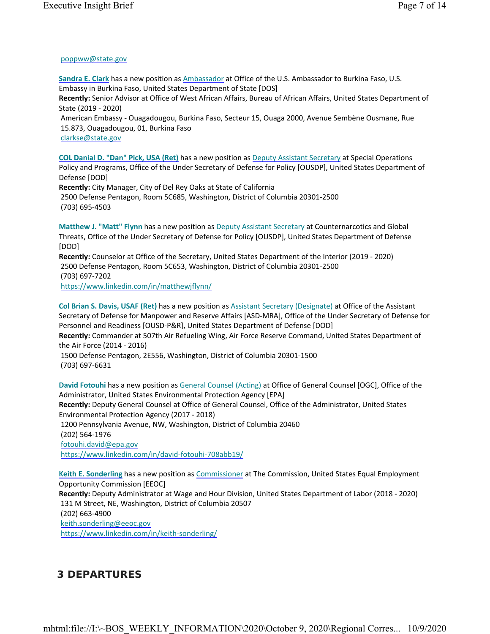### poppww@state.gov

**Sandra E. Clark** has a new position as Ambassador at Office of the U.S. Ambassador to Burkina Faso, U.S. Embassy in Burkina Faso, United States Department of State [DOS] **Recently:** Senior Advisor at Office of West African Affairs, Bureau of African Affairs, United States Department of State (2019 - 2020) American Embassy - Ouagadougou, Burkina Faso, Secteur 15, Ouaga 2000, Avenue Sembène Ousmane, Rue 15.873, Ouagadougou, 01, Burkina Faso

clarkse@state.gov

**COL Danial D. "Dan" Pick, USA (Ret)** has a new position as Deputy Assistant Secretary at Special Operations Policy and Programs, Office of the Under Secretary of Defense for Policy [OUSDP], United States Department of Defense [DOD]

**Recently:** City Manager, City of Del Rey Oaks at State of California 2500 Defense Pentagon, Room 5C685, Washington, District of Columbia 20301-2500 (703) 695-4503

**Matthew J. "Matt" Flynn** has a new position as Deputy Assistant Secretary at Counternarcotics and Global Threats, Office of the Under Secretary of Defense for Policy [OUSDP], United States Department of Defense [DOD]

**Recently:** Counselor at Office of the Secretary, United States Department of the Interior (2019 - 2020) 2500 Defense Pentagon, Room 5C653, Washington, District of Columbia 20301-2500 (703) 697-7202 https://www.linkedin.com/in/matthewjflynn/

**Col Brian S. Davis, USAF (Ret)** has a new position as Assistant Secretary (Designate) at Office of the Assistant Secretary of Defense for Manpower and Reserve Affairs [ASD-MRA], Office of the Under Secretary of Defense for Personnel and Readiness [OUSD-P&R], United States Department of Defense [DOD]

**Recently:** Commander at 507th Air Refueling Wing, Air Force Reserve Command, United States Department of the Air Force (2014 - 2016)

1500 Defense Pentagon, 2E556, Washington, District of Columbia 20301-1500 (703) 697-6631

**David Fotouhi** has a new position as General Counsel (Acting) at Office of General Counsel [OGC], Office of the Administrator, United States Environmental Protection Agency [EPA] **Recently:** Deputy General Counsel at Office of General Counsel, Office of the Administrator, United States Environmental Protection Agency (2017 - 2018) 1200 Pennsylvania Avenue, NW, Washington, District of Columbia 20460

(202) 564-1976

fotouhi.david@epa.gov

https://www.linkedin.com/in/david-fotouhi-708abb19/

**Keith E. Sonderling** has a new position as Commissioner at The Commission, United States Equal Employment Opportunity Commission [EEOC]

**Recently:** Deputy Administrator at Wage and Hour Division, United States Department of Labor (2018 - 2020) 131 M Street, NE, Washington, District of Columbia 20507

(202) 663-4900

keith.sonderling@eeoc.gov

https://www.linkedin.com/in/keith-sonderling/

# **3 DEPARTURES**

mhtml:file://I:\~BOS\_WEEKLY\_INFORMATION\2020\October 9, 2020\Regional Corres... 10/9/2020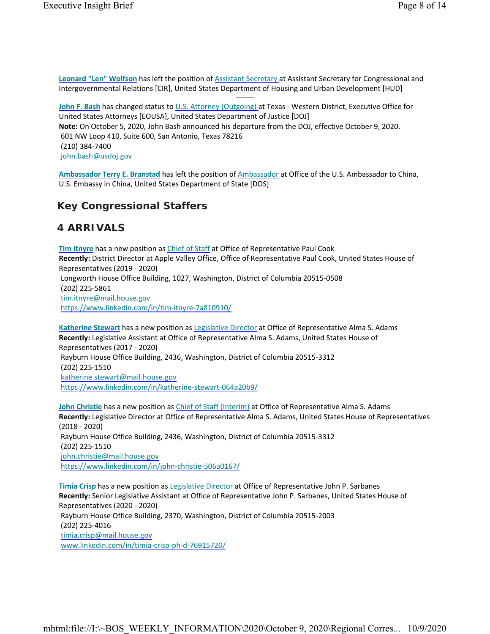**John F. Bash** has changed status to U.S. Attorney (Outgoing) at Texas - Western District, Executive Office for United States Attorneys [EOUSA], United States Department of Justice [DOJ] **Note:** On October 5, 2020, John Bash announced his departure from the DOJ, effective October 9, 2020. 601 NW Loop 410, Suite 600, San Antonio, Texas 78216 (210) 384-7400 john.bash@usdoj.gov

**Ambassador Terry E. Branstad** has left the position of Ambassador at Office of the U.S. Ambassador to China, U.S. Embassy in China, United States Department of State [DOS]

## **Key Congressional Staffers**

## **4 ARRIVALS**

**Tim Itnyre** has a new position as Chief of Staff at Office of Representative Paul Cook **Recently:** District Director at Apple Valley Office, Office of Representative Paul Cook, United States House of Representatives (2019 - 2020) Longworth House Office Building, 1027, Washington, District of Columbia 20515-0508 (202) 225-5861 tim.itnyre@mail.house.gov https://www.linkedin.com/in/tim-itnyre-7a810910/

**Katherine Stewart** has a new position as Legislative Director at Office of Representative Alma S. Adams **Recently:** Legislative Assistant at Office of Representative Alma S. Adams, United States House of Representatives (2017 - 2020) Rayburn House Office Building, 2436, Washington, District of Columbia 20515-3312 (202) 225-1510 katherine.stewart@mail.house.gov https://www.linkedin.com/in/katherine-stewart-064a20b9/

**John Christie** has a new position as Chief of Staff (Interim) at Office of Representative Alma S. Adams **Recently:** Legislative Director at Office of Representative Alma S. Adams, United States House of Representatives (2018 - 2020) Rayburn House Office Building, 2436, Washington, District of Columbia 20515-3312 (202) 225-1510 john.christie@mail.house.gov https://www.linkedin.com/in/john-christie-506a0167/

**Timia Crisp** has a new position as Legislative Director at Office of Representative John P. Sarbanes **Recently:** Senior Legislative Assistant at Office of Representative John P. Sarbanes, United States House of Representatives (2020 - 2020) Rayburn House Office Building, 2370, Washington, District of Columbia 20515-2003 (202) 225-4016 timia.crisp@mail.house.gov www.linkedin.com/in/timia-crisp-ph-d-76915720/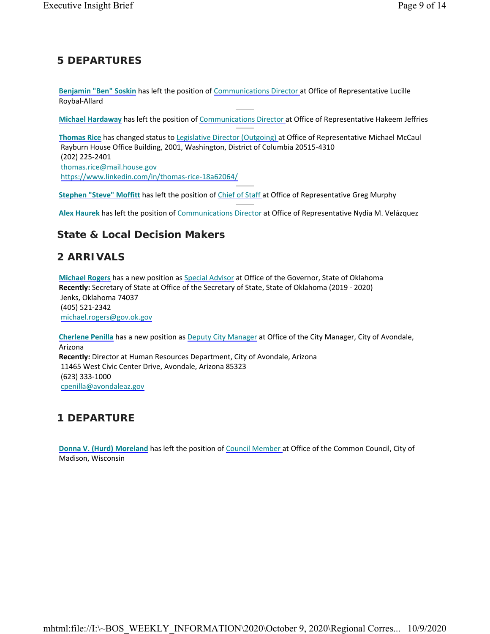# **5 DEPARTURES**

**Benjamin "Ben" Soskin** has left the position of Communications Director at Office of Representative Lucille Roybal-Allard

**Michael Hardaway** has left the position of Communications Director at Office of Representative Hakeem Jeffries

**Thomas Rice** has changed status to Legislative Director (Outgoing) at Office of Representative Michael McCaul Rayburn House Office Building, 2001, Washington, District of Columbia 20515-4310 (202) 225-2401 thomas.rice@mail.house.gov https://www.linkedin.com/in/thomas-rice-18a62064/

**Stephen "Steve" Moffitt** has left the position of Chief of Staff at Office of Representative Greg Murphy

**Alex Haurek** has left the position of Communications Director at Office of Representative Nydia M. Velázquez

## **State & Local Decision Makers**

## **2 ARRIVALS**

**Michael Rogers** has a new position as Special Advisor at Office of the Governor, State of Oklahoma **Recently:** Secretary of State at Office of the Secretary of State, State of Oklahoma (2019 - 2020) Jenks, Oklahoma 74037 (405) 521-2342 michael.rogers@gov.ok.gov

**Cherlene Penilla** has a new position as Deputy City Manager at Office of the City Manager, City of Avondale, Arizona **Recently:** Director at Human Resources Department, City of Avondale, Arizona 11465 West Civic Center Drive, Avondale, Arizona 85323 (623) 333-1000 cpenilla@avondaleaz.gov

# **1 DEPARTURE**

**Donna V. (Hurd) Moreland** has left the position of Council Member at Office of the Common Council, City of Madison, Wisconsin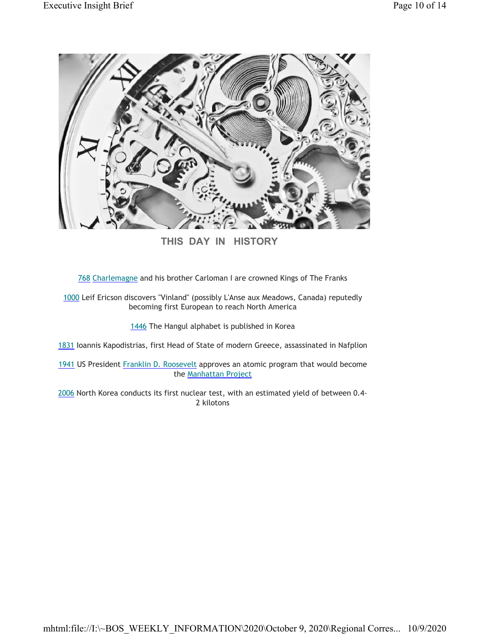

**THIS DAY IN HISTORY**

768 Charlemagne and his brother Carloman I are crowned Kings of The Franks

1000 Leif Ericson discovers "Vinland" (possibly L'Anse aux Meadows, Canada) reputedly becoming first European to reach North America

1446 The Hangul alphabet is published in Korea

1831 Ioannis Kapodistrias, first Head of State of modern Greece, assassinated in Nafplion

1941 US President Franklin D. Roosevelt approves an atomic program that would become the Manhattan Project

2006 North Korea conducts its first nuclear test, with an estimated yield of between 0.4- 2 kilotons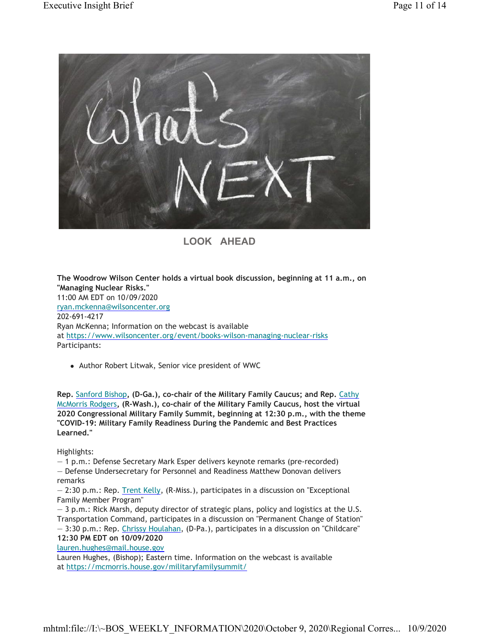

# **LOOK AHEAD**

**The Woodrow Wilson Center holds a virtual book discussion, beginning at 11 a.m., on "Managing Nuclear Risks."** 11:00 AM EDT on 10/09/2020 ryan.mckenna@wilsoncenter.org 202-691-4217 Ryan McKenna; Information on the webcast is available at https://www.wilsoncenter.org/event/books-wilson-managing-nuclear-risks Participants:

• Author Robert Litwak, Senior vice president of WWC

**Rep.** Sanford Bishop**, (D-Ga.), co-chair of the Military Family Caucus; and Rep.** Cathy McMorris Rodgers**, (R-Wash.), co-chair of the Military Family Caucus, host the virtual 2020 Congressional Military Family Summit, beginning at 12:30 p.m., with the theme "COVID-19: Military Family Readiness During the Pandemic and Best Practices Learned."**

Highlights:

— 1 p.m.: Defense Secretary Mark Esper delivers keynote remarks (pre-recorded) — Defense Undersecretary for Personnel and Readiness Matthew Donovan delivers remarks

— 2:30 p.m.: Rep. Trent Kelly, (R-Miss.), participates in a discussion on "Exceptional Family Member Program"

— 3 p.m.: Rick Marsh, deputy director of strategic plans, policy and logistics at the U.S. Transportation Command, participates in a discussion on "Permanent Change of Station"

— 3:30 p.m.: Rep. Chrissy Houlahan, (D-Pa.), participates in a discussion on "Childcare" **12:30 PM EDT on 10/09/2020**

lauren.hughes@mail.house.gov

Lauren Hughes, (Bishop); Eastern time. Information on the webcast is available at https://mcmorris.house.gov/militaryfamilysummit/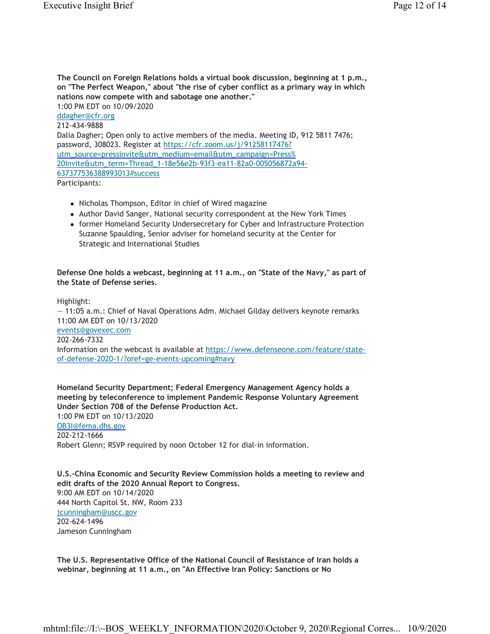**The Council on Foreign Relations holds a virtual book discussion, beginning at 1 p.m., on "The Perfect Weapon," about "the rise of cyber conflict as a primary way in which nations now compete with and sabotage one another."** 1:00 PM EDT on 10/09/2020 ddagher@cfr.org 212-434-9888 Dalia Dagher; Open only to active members of the media. Meeting ID, 912 5811 7476; password, 308023. Register at https://cfr.zoom.us/j/91258117476? utm\_source=pressinvite&utm\_medium=email&utm\_campaign=Press% 20Invite&utm\_term=Thread\_1-18e56e2b-93f3-ea11-82a0-005056872a94- 637377536388993013#success Participants:

- Nicholas Thompson, Editor in chief of Wired magazine
- Author David Sanger, National security correspondent at the New York Times
- former Homeland Security Undersecretary for Cyber and Infrastructure Protection Suzanne Spaulding, Senior adviser for homeland security at the Center for Strategic and International Studies

#### **Defense One holds a webcast, beginning at 11 a.m., on "State of the Navy," as part of the State of Defense series.**

Highlight:

— 11:05 a.m.: Chief of Naval Operations Adm. Michael Gilday delivers keynote remarks 11:00 AM EDT on 10/13/2020 events@govexec.com 202-266-7332 Information on the webcast is available at https://www.defenseone.com/feature/stateof-defense-2020-1/?oref=ge-events-upcoming#navy

**Homeland Security Department; Federal Emergency Management Agency holds a meeting by teleconference to implement Pandemic Response Voluntary Agreement Under Section 708 of the Defense Production Act.** 1:00 PM EDT on 10/13/2020 OB3I@fema.dhs.gov 202-212-1666 Robert Glenn; RSVP required by noon October 12 for dial-in information.

**U.S.-China Economic and Security Review Commission holds a meeting to review and edit drafts of the 2020 Annual Report to Congress.** 9:00 AM EDT on 10/14/2020 444 North Capitol St. NW, Room 233 jcunningham@uscc.gov 202-624-1496 Jameson Cunningham

**The U.S. Representative Office of the National Council of Resistance of Iran holds a webinar, beginning at 11 a.m., on "An Effective Iran Policy: Sanctions or No**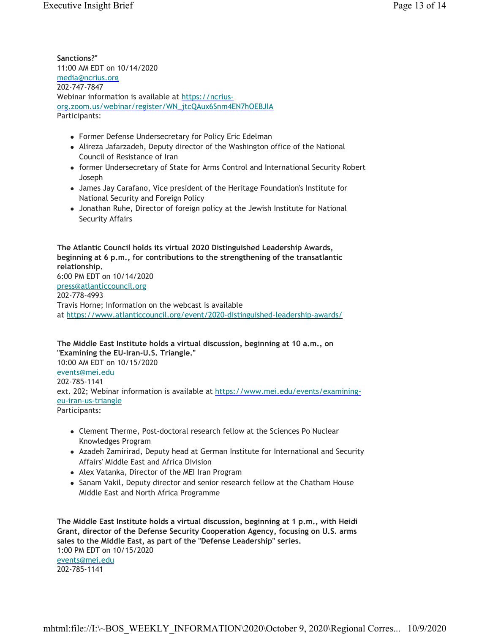**Sanctions?"** 11:00 AM EDT on 10/14/2020 media@ncrius.org 202-747-7847 Webinar information is available at https://ncriusorg.zoom.us/webinar/register/WN\_jtcQAux6Snm4EN7hOEBJlA Participants:

- Former Defense Undersecretary for Policy Eric Edelman
- Alireza Jafarzadeh, Deputy director of the Washington office of the National Council of Resistance of Iran
- former Undersecretary of State for Arms Control and International Security Robert Joseph
- James Jay Carafano, Vice president of the Heritage Foundation's Institute for National Security and Foreign Policy
- Jonathan Ruhe, Director of foreign policy at the Jewish Institute for National Security Affairs

**The Atlantic Council holds its virtual 2020 Distinguished Leadership Awards, beginning at 6 p.m., for contributions to the strengthening of the transatlantic relationship.** 6:00 PM EDT on 10/14/2020 press@atlanticcouncil.org 202-778-4993 Travis Horne; Information on the webcast is available at https://www.atlanticcouncil.org/event/2020-distinguished-leadership-awards/

**The Middle East Institute holds a virtual discussion, beginning at 10 a.m., on "Examining the EU-Iran-U.S. Triangle."** 10:00 AM EDT on 10/15/2020 events@mei.edu 202-785-1141 ext. 202; Webinar information is available at https://www.mei.edu/events/examiningeu-iran-us-triangle Participants:

- Clement Therme, Post-doctoral research fellow at the Sciences Po Nuclear Knowledges Program
- Azadeh Zamirirad, Deputy head at German Institute for International and Security Affairs' Middle East and Africa Division
- Alex Vatanka, Director of the MEI Iran Program
- Sanam Vakil, Deputy director and senior research fellow at the Chatham House Middle East and North Africa Programme

**The Middle East Institute holds a virtual discussion, beginning at 1 p.m., with Heidi Grant, director of the Defense Security Cooperation Agency, focusing on U.S. arms sales to the Middle East, as part of the "Defense Leadership" series.** 1:00 PM EDT on 10/15/2020 events@mei.edu 202-785-1141